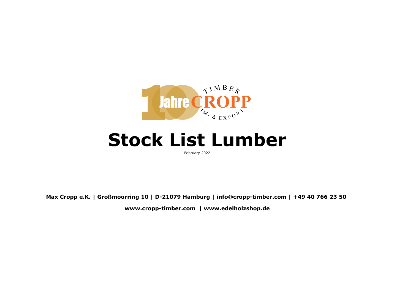

## **Stock List Lumber**

February 2022

**Max Cropp e.K. | Großmoorring 10 | D-21079 Hamburg | info@cropp-timber.com | +49 40 766 23 50 www.cropp-timber.com | www.edelholzshop.de**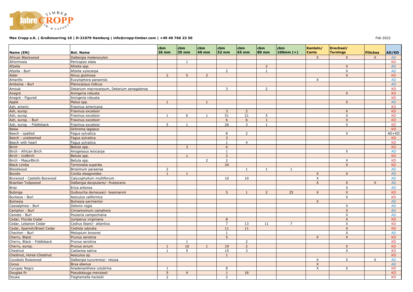

## **Max Cropp e.K. | Großmoorring 10 | D-21079 Hamburg | info@cropp-timber.com | +49 40 766 23 50 <br>
Feb 2022**

|                             |                                            | cbm            | cbm            | cbm            | cbm            | cbm            | cbm            | cbm            | Kanteln/     | Drechsel/       |                 |                        |
|-----------------------------|--------------------------------------------|----------------|----------------|----------------|----------------|----------------|----------------|----------------|--------------|-----------------|-----------------|------------------------|
| Name (EN)                   | <b>Bot. Name</b>                           | <b>26 mm</b>   | 35 mm          | 40 mm          | <b>52 mm</b>   | <b>65 mm</b>   | <b>80 mm</b>   | $100mm (+)$    | <b>Cants</b> | <b>Turnings</b> | <b>Flitches</b> | AD/KD                  |
| African Blackwood           | Dalbergia melanoxylon                      |                |                |                |                |                |                |                | X            | X               | X               | <b>AD</b>              |
| Afrormosia                  | Pericopsis elata                           |                | $\mathbf{1}$   |                |                |                |                |                |              |                 |                 | <b>KD</b>              |
| Afzelia                     | Afzelia spp.                               |                |                |                |                |                | $\overline{2}$ |                |              | $\times$        |                 | <b>AD</b>              |
| Afzelia - Burl              | Afzelia xylocarpa                          |                |                |                | $\overline{2}$ |                | 1              |                |              | X               |                 | <b>AD</b>              |
| Alder                       | Alnus glutinosa                            | $\overline{2}$ | 5 <sup>5</sup> | $\overline{2}$ |                |                |                |                |              | $\mathsf{X}$    |                 | <b>KD</b>              |
| Amarillo                    | Euxylophora paraensis                      |                |                |                |                |                |                |                | $\mathsf{x}$ |                 |                 | <b>AD</b>              |
| Amboina - Burl              | Pterocarpus indicus                        |                |                |                |                |                |                |                |              |                 |                 | <b>AD</b>              |
| Amouk                       | Detarium macrocarpum, Detarium senegalense |                |                |                | 3              |                | 2              |                |              |                 |                 | <b>KD</b>              |
| Anegré                      | Aningeria robusta                          |                |                |                |                |                |                |                |              | $\mathsf{x}$    |                 | <b>KD</b>              |
| Anegré - Figured            | Aningeria robusta                          |                |                |                |                |                |                |                |              |                 |                 | <b>KD</b>              |
| Apple                       | Malus spp.                                 | $\mathbf{1}$   |                | $\mathbf{1}$   |                |                |                |                |              | X               |                 | <b>AD</b>              |
| Ash, americ.                | Fraxinus americana                         |                |                |                |                |                |                |                |              |                 |                 | <b>KD</b>              |
| Ash, europ.                 | Fraxinus excelsior                         |                |                |                | 3              | $\overline{2}$ |                |                |              | X               |                 | <b>KD</b>              |
| Ash, europ.                 | Fraxinus excelsior                         | $\mathbf{1}$   | 6              | 1              | 51             | 21             | 5              |                |              | X               |                 | <b>KD</b>              |
| Ash, europ. - Burl          | Fraxinus excelsior                         |                |                |                | 6              | 6              | $\mathbf{1}$   |                |              | $\mathsf{X}$    |                 | <b>KD</b>              |
| Ash, europ. - Fiddleback    | Fraxinus excelsior                         | 5              | 1              |                | 26             | 3              | $\mathbf{1}$   |                |              | X               |                 | <b>KD</b>              |
| <b>Balsa</b>                | Ochroma lagopus                            |                |                |                |                |                |                |                |              |                 |                 | <b>KD</b>              |
| Beech - spalted             | Fagus sylvatica                            |                |                |                | 8              | 2              |                |                |              | X               |                 | $AD+KD$                |
| Beech - unsteamed           | Fagus sylvatica                            |                |                |                | $\overline{3}$ |                |                |                |              |                 |                 | <b>KD</b>              |
| Beech with heart            | Fagus sylvatica                            |                |                |                | $\mathbf{1}$   | $\overline{4}$ |                |                |              |                 |                 | <b>KD</b>              |
| <b>Birch</b>                | Betula spp.                                |                | $\overline{3}$ |                | 6              |                |                |                |              |                 |                 | <b>KD</b>              |
| Birch - African Birch       | Anogeissus leiocarpa                       |                |                |                | $\mathbf{1}$   |                |                |                |              | $\times$        |                 | <b>AD</b>              |
| Birch - IceBirch            | Betula spp.                                |                | $\overline{1}$ |                | $\overline{2}$ |                |                |                |              |                 |                 | <b>KD</b>              |
| Birch - MasurBirch          | Betula spp.                                |                |                | $\overline{2}$ | $\overline{2}$ |                |                |                |              | $\times$        |                 | <b>KD</b>              |
| <b>Black Limba</b>          | Terminalia superba                         |                |                |                | 34             |                |                |                |              | $\mathsf{X}$    |                 | <b>KD</b>              |
| Bloodwood                   | Brosimum paraense                          | 2              |                |                |                | $\mathbf{1}$   | $\mathbf{1}$   | $\mathbf{1}$   |              |                 |                 | <b>AD</b>              |
| <b>Bocote</b>               | Cordia eleagnoides                         | $\mathbf{1}$   | $\mathbf{1}$   |                |                |                |                |                | $\mathsf{X}$ | $\mathsf{x}$    |                 | <b>AD</b>              |
| Boxwood - Castello Boxwood  | Calycophyllum multiflorum                  |                |                |                | 10             | 10             |                |                | $\mathsf{X}$ |                 |                 | <b>AD</b>              |
| <b>Brazilian Tulipwood</b>  | Dalbergia decipularis/- frutescens         |                |                |                |                |                |                |                | $\mathsf{X}$ | $\times$        | $\mathsf{X}$    | <b>AD</b>              |
| Briar                       | Erica arborea                              |                |                |                |                |                |                |                |              | X               |                 | <b>AD</b>              |
| <b>Bubinga</b>              | Guibourtia demeusei/- tessmannii           |                |                |                | $\overline{5}$ | 1              | $\overline{2}$ | 25             | $\mathsf{x}$ | $\mathsf{X}$    |                 | <b>KD</b>              |
| Buckeye - Burl              | Aesculus californica                       |                |                |                |                |                |                |                |              | X               |                 | <b>KD</b>              |
| <b>Bulnesia</b>             | Bulnesia sarmientoi                        |                |                |                |                |                |                |                | $\mathsf{X}$ |                 |                 | <b>AD</b>              |
| Caesalpinea - Burl          | Delonix regia                              |                |                |                |                |                |                |                |              | X               |                 | <b>AD</b>              |
| Camphor - Burl              | Cinnamomum camphora                        |                |                |                |                |                |                |                |              | $\mathsf{X}$    |                 | <b>AD</b>              |
| Caniste - Burl              | Pouteria campechiana                       |                |                |                |                |                |                |                |              | X               |                 | AD                     |
| Cedar, Florida Cedar        | Juniperus virginiana                       |                |                |                | 8              |                |                |                |              | $\pmb{\times}$  |                 | <b>KD</b>              |
| Cedar, Lebanon Cedar        | Cedrus libani/- atlantica                  |                |                |                | $\overline{7}$ | 13             | 11             | $\overline{7}$ |              | $\mathsf{X}$    |                 | <b>KD</b>              |
| Cedar, Spanish/Brasil Cedar | Cedrela odorata                            |                |                |                | 11             | 11             |                |                |              | $\mathsf{X}$    |                 | <b>KD</b>              |
| Chechen - Burl              | Metopium brownei                           |                |                |                | $\mathbf{1}$   |                |                |                |              | X               |                 | <b>AD</b>              |
|                             |                                            |                |                |                | 5              |                |                |                | $\mathsf{X}$ | $\mathsf{X}$    |                 |                        |
| Cherry, Black               | Prunus serotina                            |                |                |                |                |                |                |                |              |                 |                 | <b>KD</b><br><b>KD</b> |
| Cherry, Black - Fiddleback  | Prunus serotina                            |                | $\mathbf{1}$   |                |                | 2              |                |                |              |                 |                 |                        |
| Cherry, europ.              | Prunus avium                               | $\mathbf{1}$   | 10             | $\mathbf{1}$   | 19             | $\overline{2}$ |                |                |              | X               |                 | <b>KD</b>              |
| Chestnut                    | Castanea sativa                            | $\mathbf{1}$   | 5              |                | 15             | 3              |                |                |              | $\mathsf{X}$    |                 | <b>KD</b>              |
| Chestnut, Horse-Chestnut    | Aesculus sp.                               |                |                |                | $\mathbf{1}$   |                |                |                |              |                 |                 | <b>KD</b>              |
| Cocobolo Rosewood           | Dalbergia tucurensis/- retusa              |                |                |                |                |                |                |                | $\times$     | Χ               | X               | AD                     |
| Cocus                       | Brya ebenus                                |                |                |                |                |                |                |                | $\mathsf{X}$ |                 |                 | <b>AD</b>              |
| Curupay Negro               | Anadenanthera colubrina                    |                |                |                | 8              |                |                |                | X            | Χ               |                 | KD                     |
| Douglas fir                 | Pseudotsuga menziesii                      | 5              | $\overline{4}$ |                | $\mathbf{1}$   | 16             |                |                |              |                 |                 | <b>KD</b>              |
| Douka                       | Tieghemella heckelii                       | $\overline{2}$ |                |                | $\overline{2}$ |                |                |                |              |                 |                 | <b>KD</b>              |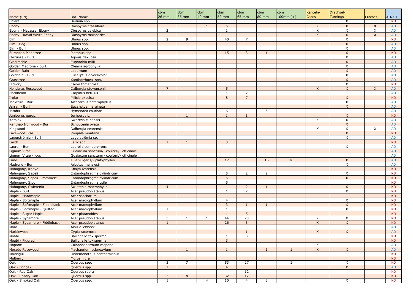|                                |                                          | cbm               | cbm            | cbm          | cbm                            | cbm            | cbm            | cbm         | Kanteln/     | Drechsel/       |                           |                        |
|--------------------------------|------------------------------------------|-------------------|----------------|--------------|--------------------------------|----------------|----------------|-------------|--------------|-----------------|---------------------------|------------------------|
| Name (EN)                      | Bot. Name                                | 26 mm             | 35 mm          | 40 mm        | 52 mm                          | 65 mm          | 80 mm          | $100mm (+)$ | Cants        | <b>Turnings</b> | <b>Flitches</b>           | AD/KD                  |
| Ebiara                         | Berlinia spp.                            |                   |                |              |                                |                |                |             |              | Χ               |                           | <b>KD</b>              |
| Ebony                          | Diospyros crassiflora                    |                   |                |              | 5                              |                |                |             | $\mathsf{X}$ | $\mathsf{X}$    | $\boldsymbol{\mathsf{X}}$ | <b>AD</b>              |
| Ebony - Macassar Ebony         | Diospyros celebica                       | $\overline{2}$    |                |              | -1                             |                |                |             | X            | X               | X                         | <b>AD</b>              |
| Ebony - Royal White Ebony      | Diospyros malabarica                     |                   |                |              |                                |                |                |             | $\mathsf{X}$ | X               | X                         | <b>AD</b>              |
| Elm                            | Ulmus spp.                               | $\overline{2}$    | 9              |              | 40                             | $\overline{7}$ |                |             |              | X               |                           | <b>KD</b>              |
| Elm - Bog                      | Ulmus spp.                               |                   |                |              |                                |                |                |             |              | X               |                           | AD.                    |
| Elm - Burl                     | Ulmus spp.                               |                   |                |              |                                |                |                |             |              | X               |                           | <b>AD</b>              |
| European Planetree             | Platanus spp.                            |                   |                |              | 15                             | $\overline{3}$ | $\mathbf{1}$   |             |              | $\mathsf{X}$    |                           | <b>KD</b>              |
| Flexuosa - Burl                | Agonis flexuosa                          |                   |                |              |                                |                |                |             |              | X               |                           | <b>AD</b>              |
| Gleditschie                    | Euphorbia milii                          |                   |                |              |                                |                |                |             |              | $\mathsf{X}$    |                           | <b>AD</b>              |
| Golden Madrone - Burl          | Olearia agrophylla                       |                   |                |              |                                |                |                |             |              | X               |                           | <b>AD</b>              |
| Golden Rain                    | Laburnum                                 |                   |                |              |                                |                |                |             |              | $\mathsf{X}$    |                           | <b>AD</b>              |
| Goldfield - Burl               | Eucaliptus diversicolor                  |                   |                |              |                                |                |                |             |              | X               |                           | <b>AD</b>              |
| Grasstree                      | Xanthorrhoea spp.                        |                   |                |              |                                |                |                |             |              | $\mathsf{X}$    |                           | <b>AD</b>              |
| Hickory                        | Carya tomentosa                          |                   |                |              |                                |                |                |             |              | X               |                           | <b>KD</b>              |
| <b>Honduras Rosewood</b>       | Dalbergia stevensonii                    | $\overline{7}$    |                |              | 5                              |                |                |             | $\mathsf{X}$ | X               | $\times$                  | <b>AD</b>              |
| Hornbeam                       | Carpinus betulus                         |                   |                |              | 1                              | $\overline{2}$ |                |             |              |                 |                           | <b>AD</b>              |
| Iroko                          | Milicia excelsa                          |                   |                |              | 8                              | $\overline{7}$ |                |             |              | $\mathsf{X}$    |                           | <b>KD</b>              |
| Jackfruit - Burl               | Artocarpus heterophyllus                 |                   |                |              |                                |                |                |             |              | X               |                           | <b>AD</b>              |
| Jarrah - Burl                  | Eucaliptus marginata                     |                   |                |              |                                |                |                |             |              | $\mathsf{X}$    |                           | <b>AD</b>              |
| Jatoba                         | Hymenaea courbaril                       |                   |                |              | 6                              |                | 6              |             |              |                 |                           | <b>AD</b>              |
| Juniperus europ.               | Juniperus L.                             |                   | $\overline{1}$ |              | $\mathbf{1}$                   | $\mathbf{1}$   |                |             |              | X               |                           | <b>KD</b>              |
| Katalox                        | Swartzia cubensis                        |                   |                |              |                                |                |                |             | $\times$     | X               |                           | <b>AD</b>              |
| Kenthao Ironwood - Burl        | Schoutenia ovata                         |                   |                |              |                                |                |                |             |              | X               |                           | <b>AD</b>              |
| Kingwood                       | Dalbergia cearensis                      |                   |                |              |                                |                |                |             | $\times$     | $\sf X$         | $\times$                  | <b>AD</b>              |
| <b>Lacewood Brasil</b>         | Roupala montana                          |                   |                |              |                                |                |                |             |              | $\mathsf{X}$    |                           | <b>KD</b>              |
| Lagerströmia - Burl            | Lagerströmia sp.                         |                   |                |              |                                |                |                |             |              | X               |                           | <b>AD</b>              |
| Larch                          | Larix spp.                               | 1                 | $\mathbf{1}$   |              | $\overline{3}$                 |                |                |             |              |                 |                           | <b>KD</b>              |
| Laurel - Burl                  | Laurelia sempervirens                    |                   |                |              |                                |                |                |             |              | X               |                           | AD                     |
| Lignum Vitae                   | Guaiacum sanctum/- coulteri/- officinale |                   |                |              |                                |                |                |             |              |                 |                           | <b>AD</b>              |
| Lignum Vitae - logs            | Guaiacum sanctum/- coulteri/- officinale |                   |                |              |                                |                |                |             |              |                 |                           | AD                     |
| Lime                           | Tilia vulgaris/- platyphyllos            |                   |                |              | 17                             |                | 16             | 16          |              | X               |                           | <b>AD</b>              |
| Madrone - Burl                 |                                          |                   |                |              |                                |                |                |             |              | X               |                           | AD                     |
| Mahogany, Khaya                | Arbutus menziesii<br>Khaya ivorensis     |                   |                |              |                                |                |                |             |              |                 |                           | <b>KD</b>              |
| Mahogany, Sapeli               | Entandophragma cylindricum               |                   |                |              | 5                              | $\overline{2}$ | 2              |             |              | X               |                           | KD                     |
| Mahogany, Sapeli - Pommele     | Entandophragma cylindricum               |                   |                |              | 5                              |                |                |             |              | $\times$        |                           | <b>KD</b>              |
| Mahogany, Sipo                 | Entandophragma utile                     |                   |                |              | 5                              |                |                |             |              |                 |                           | <b>KD</b>              |
| Mahogany, Swietenia            | Swietenia macrophylla                    | $\overline{4}$    |                |              |                                | $\overline{2}$ | 1              |             |              | $\mathsf{X}$    |                           | <b>KD</b>              |
| Maple - Burl                   | Acer pseudoplatanus                      |                   |                |              | $\mathbf{1}$                   | 2              |                |             |              | X               |                           | <b>KD</b>              |
| Maple - Hardmaple              | Acer saccharum                           |                   |                |              |                                |                |                |             |              |                 |                           | <b>KD</b>              |
| Maple - Softmaple              | Acer macrophyllum                        |                   |                |              | $\overline{4}$                 |                |                |             |              | X               |                           | KD                     |
| Maple - Softmaple - Fiddleback | Acer macrophyllum                        |                   |                |              | $\overline{3}$                 | 1              | 1              |             |              | $\mathsf{X}$    |                           | <b>KD</b>              |
| Maple - Softmaple - Quilted    | Acer macrophyllum                        | 1                 |                |              | $\mathbf{1}$                   |                |                |             |              | X               |                           | <b>KD</b>              |
| Maple - Sugar Maple            | Acer platanoides                         |                   |                |              | $\mathbf{1}$                   | 5 <sup>5</sup> |                |             |              |                 |                           | <b>KD</b>              |
| Maple - Sycamore               | Acer pseudoplatanus                      | 5                 | 1              | $\mathbf{1}$ | 44                             | 23             |                |             | $\times$     | Χ               |                           | <b>KD</b>              |
| Maple - Sycamore - Fiddleback  | Acer pseudoplatanus                      | $\mathbf{1}$      |                |              | 26                             | $\overline{3}$ |                |             | $\mathsf{X}$ | $\mathsf{X}$    |                           | <b>KD</b>              |
| Mara                           | Albizia lebbeck                          |                   |                |              |                                |                |                |             |              |                 |                           | <b>AD</b>              |
| Marblewood                     |                                          |                   |                |              |                                |                |                |             | $\mathsf{X}$ |                 |                           | <b>AD</b>              |
|                                | Zygia racemosa                           |                   |                |              |                                | 1              |                |             |              | $\mathsf{X}$    |                           | <b>KD</b>              |
| Moabi                          | Baillonelle toxisperma                   |                   |                |              | $\mathbf{1}$<br>$\overline{3}$ | 3              | 3              |             |              |                 |                           | <b>KD</b>              |
| Moabi - Figured                | Baillonelle toxisperma                   |                   |                |              |                                |                |                |             |              |                 |                           |                        |
| Mopane                         | Colophospermum mopane                    |                   | $\mathbf{1}$   |              | $\mathbf{1}$                   |                |                |             | X            |                 |                           | <b>AD</b>              |
| Morado Rosewood                | Machaerium scleroxylum                   |                   |                |              |                                |                | 1              | 1           | $\mathsf{X}$ | $\mathsf{X}$    |                           | <b>AD</b>              |
| Movingui                       | Distemonathus benthamianus               |                   |                |              |                                |                |                |             |              |                 |                           | <b>KD</b>              |
| Mulberry                       | Morus nigra                              |                   | 7              |              |                                |                |                |             |              |                 |                           | <b>KD</b>              |
| Oak                            | Quercus spp.                             | 3<br>$\mathbf{1}$ |                |              | 53                             | 27             |                | 1           |              | X               |                           | <b>KD</b>              |
| Oak - Bogoak<br>Oak - Red Oak  | Quercus spp.                             |                   |                |              | $\overline{4}$                 |                |                |             |              | $\mathsf{X}$    |                           | <b>AD</b><br><b>KD</b> |
| Oak - Rosary Oak               | Quercus rubra                            |                   |                |              |                                | 12<br>12       |                |             |              |                 |                           | <b>KD</b>              |
| Oak - Smoked Oak               | Quercus spp.                             | 3<br>1            | 8              | 4            | 32<br>10                       | $\overline{4}$ | $\overline{3}$ |             |              | X               |                           | KD                     |
|                                | Quercus spp.                             |                   |                |              |                                |                |                |             |              |                 |                           |                        |